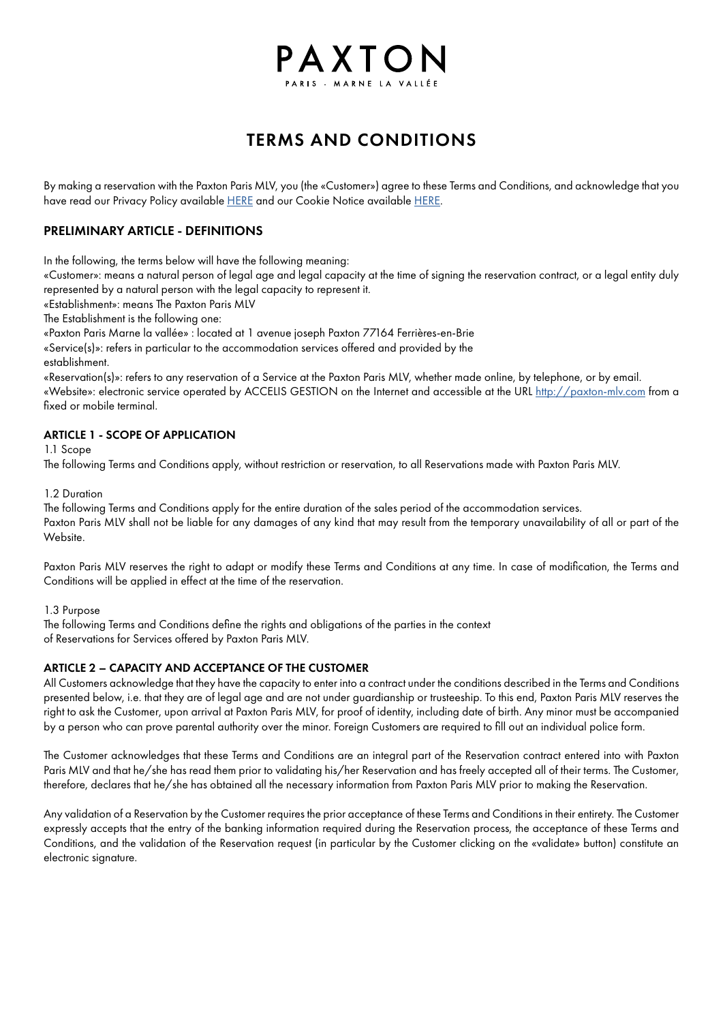# PAXTON

## TERMS AND CONDITIONS

By making a reservation with the Paxton Paris MLV, you (the «Customer») agree to these Terms and Conditions, and acknowledge that you have read our Privacy Policy available [HERE](https://paxton-mlv.com/termes-et-conditions/) and our Cookie Notice available HERE.

#### PRELIMINARY ARTICLE - DEFINITIONS

In the following, the terms below will have the following meaning:

«Customer»: means a natural person of legal age and legal capacity at the time of signing the reservation contract, or a legal entity duly represented by a natural person with the legal capacity to represent it.

«Establishment»: means The Paxton Paris MLV

The Establishment is the following one:

«Paxton Paris Marne la vallée» : located at 1 avenue joseph Paxton 77164 Ferrières-en-Brie

«Service(s)»: refers in particular to the accommodation services offered and provided by the

establishment.

«Reservation(s)»: refers to any reservation of a Service at the Paxton Paris MLV, whether made online, by telephone, or by email. «Website»: electronic service operated by ACCELIS GESTION on the Internet and accessible at the URL [http://paxton-mlv.com](https://paxton-mlv.com/) from a fixed or mobile terminal.

#### ARTICLE 1 - SCOPE OF APPLICATION

1.1 Scope

The following Terms and Conditions apply, without restriction or reservation, to all Reservations made with Paxton Paris MLV.

#### 1.2 Duration

The following Terms and Conditions apply for the entire duration of the sales period of the accommodation services. Paxton Paris MLV shall not be liable for any damages of any kind that may result from the temporary unavailability of all or part of the Website.

Paxton Paris MLV reserves the right to adapt or modify these Terms and Conditions at any time. In case of modification, the Terms and Conditions will be applied in effect at the time of the reservation.

#### 1.3 Purpose

The following Terms and Conditions define the rights and obligations of the parties in the context of Reservations for Services offered by Paxton Paris MLV.

#### ARTICLE 2 – CAPACITY AND ACCEPTANCE OF THE CUSTOMER

All Customers acknowledge that they have the capacity to enter into a contract under the conditions described in the Terms and Conditions presented below, i.e. that they are of legal age and are not under guardianship or trusteeship. To this end, Paxton Paris MLV reserves the right to ask the Customer, upon arrival at Paxton Paris MLV, for proof of identity, including date of birth. Any minor must be accompanied by a person who can prove parental authority over the minor. Foreign Customers are required to fill out an individual police form.

The Customer acknowledges that these Terms and Conditions are an integral part of the Reservation contract entered into with Paxton Paris MLV and that he/she has read them prior to validating his/her Reservation and has freely accepted all of their terms. The Customer, therefore, declares that he/she has obtained all the necessary information from Paxton Paris MLV prior to making the Reservation.

Any validation of a Reservation by the Customer requires the prior acceptance of these Terms and Conditions in their entirety. The Customer expressly accepts that the entry of the banking information required during the Reservation process, the acceptance of these Terms and Conditions, and the validation of the Reservation request (in particular by the Customer clicking on the «validate» button) constitute an electronic signature.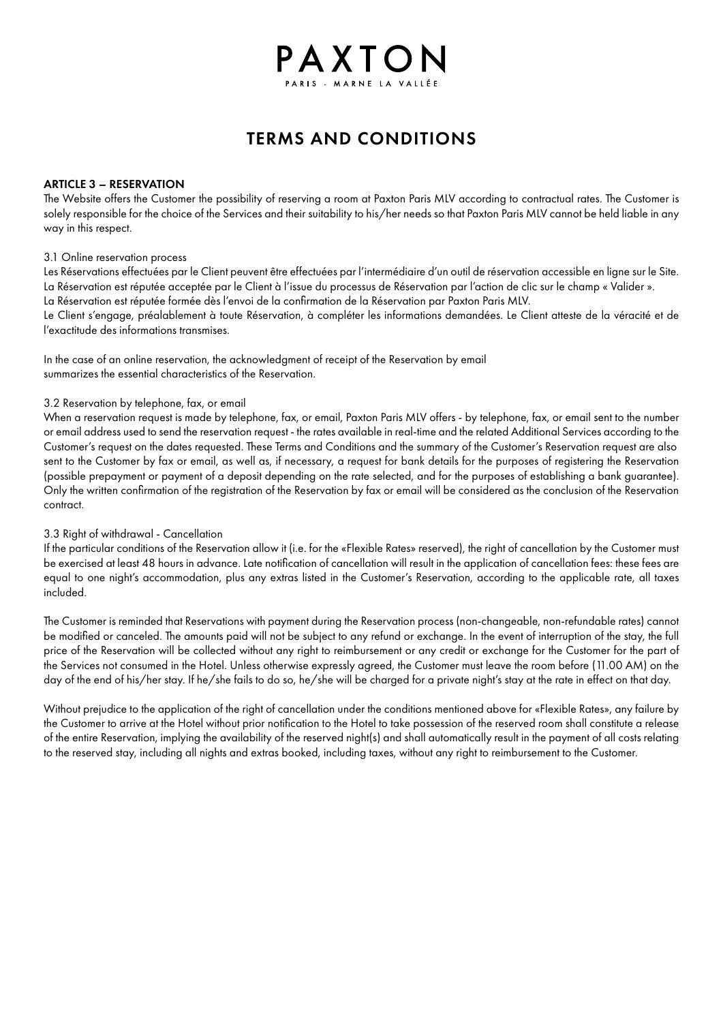# TERMS AND CONDITIONS

PAXTON

#### ARTICLE 3 – RESERVATION

The Website offers the Customer the possibility of reserving a room at Paxton Paris MLV according to contractual rates. The Customer is solely responsible for the choice of the Services and their suitability to his/her needs so that Paxton Paris MLV cannot be held liable in any way in this respect.

#### 3.1 Online reservation process

Les Réservations effectuées par le Client peuvent être effectuées par l'intermédiaire d'un outil de réservation accessible en ligne sur le Site. La Réservation est réputée acceptée par le Client à l'issue du processus de Réservation par l'action de clic sur le champ « Valider ».

La Réservation est réputée formée dès l'envoi de la confirmation de la Réservation par Paxton Paris MLV.

Le Client s'engage, préalablement à toute Réservation, à compléter les informations demandées. Le Client atteste de la véracité et de l'exactitude des informations transmises.

In the case of an online reservation, the acknowledgment of receipt of the Reservation by email summarizes the essential characteristics of the Reservation.

#### 3.2 Reservation by telephone, fax, or email

When a reservation request is made by telephone, fax, or email, Paxton Paris MLV offers - by telephone, fax, or email sent to the number or email address used to send the reservation request - the rates available in real-time and the related Additional Services according to the Customer's request on the dates requested. These Terms and Conditions and the summary of the Customer's Reservation request are also sent to the Customer by fax or email, as well as, if necessary, a request for bank details for the purposes of registering the Reservation (possible prepayment or payment of a deposit depending on the rate selected, and for the purposes of establishing a bank guarantee). Only the written confirmation of the registration of the Reservation by fax or email will be considered as the conclusion of the Reservation contract.

#### 3.3 Right of withdrawal - Cancellation

If the particular conditions of the Reservation allow it (i.e. for the «Flexible Rates» reserved), the right of cancellation by the Customer must be exercised at least 48 hours in advance. Late notification of cancellation will result in the application of cancellation fees: these fees are equal to one night's accommodation, plus any extras listed in the Customer's Reservation, according to the applicable rate, all taxes included.

The Customer is reminded that Reservations with payment during the Reservation process (non-changeable, non-refundable rates) cannot be modified or canceled. The amounts paid will not be subject to any refund or exchange. In the event of interruption of the stay, the full price of the Reservation will be collected without any right to reimbursement or any credit or exchange for the Customer for the part of the Services not consumed in the Hotel. Unless otherwise expressly agreed, the Customer must leave the room before (11.00 AM) on the day of the end of his/her stay. If he/she fails to do so, he/she will be charged for a private night's stay at the rate in effect on that day.

Without prejudice to the application of the right of cancellation under the conditions mentioned above for «Flexible Rates», any failure by the Customer to arrive at the Hotel without prior notification to the Hotel to take possession of the reserved room shall constitute a release of the entire Reservation, implying the availability of the reserved night(s) and shall automatically result in the payment of all costs relating to the reserved stay, including all nights and extras booked, including taxes, without any right to reimbursement to the Customer.